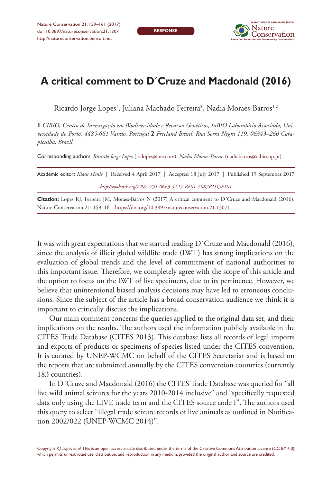**RESPONSE**



## **A critical comment to D´Cruze and Macdonald (2016)**

Ricardo Jorge Lopes', Juliana Machado Ferreira<sup>2</sup>, Nadia Moraes-Barros<sup>1,2</sup>

**1** *CIBIO, Centro de Investigação em Biodiversidade e Recursos Genéticos, InBIO Laboratório Associado, Universidade do Porto, 4485-661 Vairão, Portugal* **2** *Freeland Brasil, Rua Serra Negra 119, 06343–260 Carapicuiba, Brazil*

Corresponding authors: *Ricardo Jorge Lopes* [\(riclopes@me.com](mailto:riclopes@me.com)); *Nadia Moraes-Barros* ([nadiabarros@cibio.up.pt](mailto:nadiabarros@cibio.up.pt))

| Academic editor: Klaus Henle   Received 4 April 2017   Accepted 18 July 2017   Published 19 September 2017 |  |
|------------------------------------------------------------------------------------------------------------|--|
| http://zoobank.org/72974751-06E3-4A17-BF01-A087B1D5E101                                                    |  |
|                                                                                                            |  |

**Citation:** Lopes RJ, Ferreira JM, Moraes-Barros N (2017) A critical comment to D´Cruze and Macdonald (2016). Nature Conservation 21: 159–161.<https://doi.org/10.3897/natureconservation.21.13071>

It was with great expectations that we started reading D´Cruze and Macdonald (2016), since the analysis of illicit global wildlife trade (IWT) has strong implications on the evaluation of global trends and the level of commitment of national authorities to this important issue. Therefore, we completely agree with the scope of this article and the option to focus on the IWT of live specimens, due to its pertinence. However, we believe that unintentional biased analysis decisions may have led to erroneous conclusions. Since the subject of the article has a broad conservation audience we think it is important to critically discuss the implications.

Our main comment concerns the queries applied to the original data set, and their implications on the results. The authors used the information publicly available in the CITES Trade Database (CITES 2013). This database lists all records of legal imports and exports of products or specimens of species listed under the CITES convention. It is curated by UNEP-WCMC on behalf of the CITES Secretariat and is based on the reports that are submitted annually by the CITES convention countries (currently 183 countries).

In D´Cruze and Macdonald (2016) the CITES Trade Database was queried for "all live wild animal seizures for the years 2010-2014 inclusive" and "specifically requested data only using the LIVE trade term and the CITES source code I". The authors used this query to select "illegal trade seizure records of live animals as outlined in Notification 2002/022 (UNEP-WCMC 2014)".

Copyright *R.J. Lopes et al.* This is an open access article distributed under the terms of the [Creative Commons Attribution License \(CC BY 4.0\),](http://creativecommons.org/licenses/by/4.0/) which permits unrestricted use, distribution, and reproduction in any medium, provided the original author and source are credited.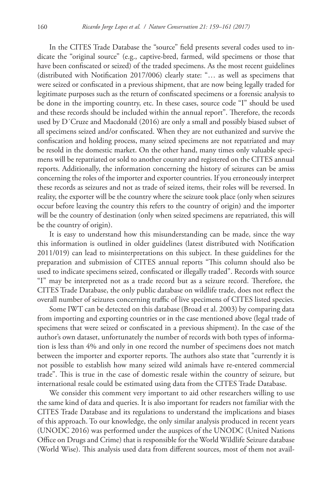In the CITES Trade Database the "source" field presents several codes used to indicate the "original source" (e.g., captive-bred, farmed, wild specimens or those that have been confiscated or seized) of the traded specimens. As the most recent guidelines (distributed with Notification 2017/006) clearly state: "… as well as specimens that were seized or confiscated in a previous shipment, that are now being legally traded for legitimate purposes such as the return of confiscated specimens or a forensic analysis to be done in the importing country, etc. In these cases, source code "I" should be used and these records should be included within the annual report". Therefore, the records used by D´Cruze and Macdonald (2016) are only a small and possibly biased subset of all specimens seized and/or confiscated. When they are not euthanized and survive the confiscation and holding process, many seized specimens are not repatriated and may be resold in the domestic market. On the other hand, many times only valuable specimens will be repatriated or sold to another country and registered on the CITES annual reports. Additionally, the information concerning the history of seizures can be amiss concerning the roles of the importer and exporter countries. If you erroneously interpret these records as seizures and not as trade of seized items, their roles will be reversed. In reality, the exporter will be the country where the seizure took place (only when seizures occur before leaving the country this refers to the country of origin) and the importer will be the country of destination (only when seized specimens are repatriated, this will be the country of origin).

It is easy to understand how this misunderstanding can be made, since the way this information is outlined in older guidelines (latest distributed with Notification 2011/019) can lead to misinterpretations on this subject. In these guidelines for the preparation and submission of CITES annual reports "This column should also be used to indicate specimens seized, confiscated or illegally traded". Records with source "I" may be interpreted not as a trade record but as a seizure record. Therefore, the CITES Trade Database, the only public database on wildlife trade, does not reflect the overall number of seizures concerning traffic of live specimens of CITES listed species.

Some IWT can be detected on this database (Broad et al. 2003) by comparing data from importing and exporting countries or in the case mentioned above (legal trade of specimens that were seized or confiscated in a previous shipment). In the case of the author's own dataset, unfortunately the number of records with both types of information is less than 4% and only in one record the number of specimens does not match between the importer and exporter reports. The authors also state that "currently it is not possible to establish how many seized wild animals have re-entered commercial trade". This is true in the case of domestic resale within the country of seizure, but international resale could be estimated using data from the CITES Trade Database.

We consider this comment very important to aid other researchers willing to use the same kind of data and queries. It is also important for readers not familiar with the CITES Trade Database and its regulations to understand the implications and biases of this approach. To our knowledge, the only similar analysis produced in recent years (UNODC 2016) was performed under the auspices of the UNODC (United Nations Office on Drugs and Crime) that is responsible for the World Wildlife Seizure database (World Wise). This analysis used data from different sources, most of them not avail